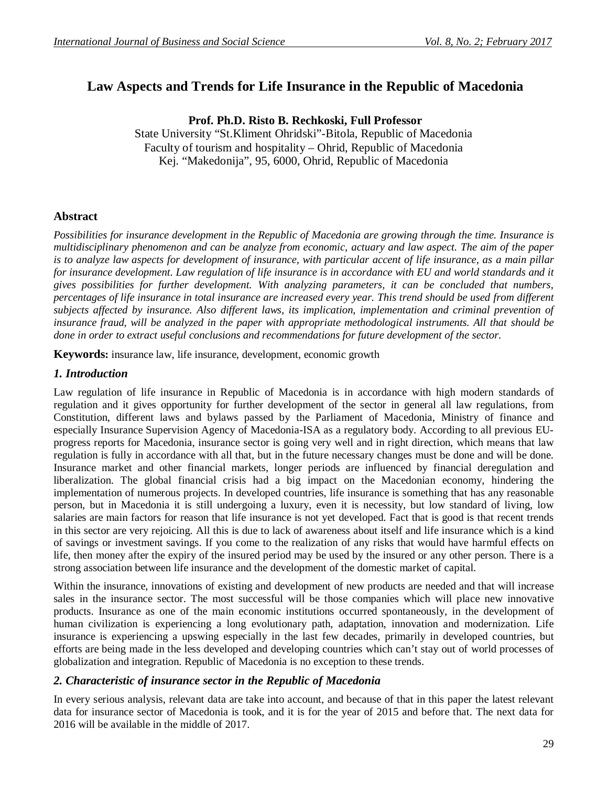# **Law Aspects and Trends for Life Insurance in the Republic of Macedonia**

**Prof. Ph.D. Risto B. Rechkoski, Full Professor**

State University "St.Kliment Ohridski"-Bitola, Republic of Macedonia Faculty of tourism and hospitality – Ohrid, Republic of Macedonia Kej. "Makedonija", 95, 6000, Ohrid, Republic of Macedonia

### **Abstract**

*Possibilities for insurance development in the Republic of Macedonia are growing through the time. Insurance is multidisciplinary phenomenon and can be analyze from economic, actuary and law aspect. The aim of the paper is to analyze law aspects for development of insurance, with particular accent of life insurance, as a main pillar*  for insurance development. Law regulation of life insurance is in accordance with EU and world standards and it *gives possibilities for further development. With analyzing parameters, it can be concluded that numbers, percentages of life insurance in total insurance are increased every year. This trend should be used from different subjects affected by insurance. Also different laws, its implication, implementation and criminal prevention of insurance fraud, will be analyzed in the paper with appropriate methodological instruments. All that should be done in order to extract useful conclusions and recommendations for future development of the sector.*

**Keywords:** insurance law, life insurance, development, economic growth

### *1. Introduction*

Law regulation of life insurance in Republic of Macedonia is in accordance with high modern standards of regulation and it gives opportunity for further development of the sector in general all law regulations, from Constitution, different laws and bylaws passed by the Parliament of Macedonia, Ministry of finance and especially Insurance Supervision Agency of Macedonia-ISA as a regulatory body. According to all previous EUprogress reports for Macedonia, insurance sector is going very well and in right direction, which means that law regulation is fully in accordance with all that, but in the future necessary changes must be done and will be done. Insurance market and other financial markets, longer periods are influenced by financial deregulation and liberalization. The global financial crisis had a big impact on the Macedonian economy, hindering the implementation of numerous projects. In developed countries, life insurance is something that has any reasonable person, but in Macedonia it is still undergoing a luxury, even it is necessity, but low standard of living, low salaries are main factors for reason that life insurance is not yet developed. Fact that is good is that recent trends in this sector are very rejoicing. All this is due to lack of awareness about itself and life insurance which is a kind of savings or investment savings. If you come to the realization of any risks that would have harmful effects on life, then money after the expiry of the insured period may be used by the insured or any other person. There is a strong association between life insurance and the development of the domestic market of capital.

Within the insurance, innovations of existing and development of new products are needed and that will increase sales in the insurance sector. The most successful will be those companies which will place new innovative products. Insurance as one of the main economic institutions occurred spontaneously, in the development of human civilization is experiencing a long evolutionary path, adaptation, innovation and modernization. Life insurance is experiencing a upswing especially in the last few decades, primarily in developed countries, but efforts are being made in the less developed and developing countries which can't stay out of world processes of globalization and integration. Republic of Macedonia is no exception to these trends.

# *2. Characteristic of insurance sector in the Republic of Macedonia*

In every serious analysis, relevant data are take into account, and because of that in this paper the latest relevant data for insurance sector of Macedonia is took, and it is for the year of 2015 and before that. The next data for 2016 will be available in the middle of 2017.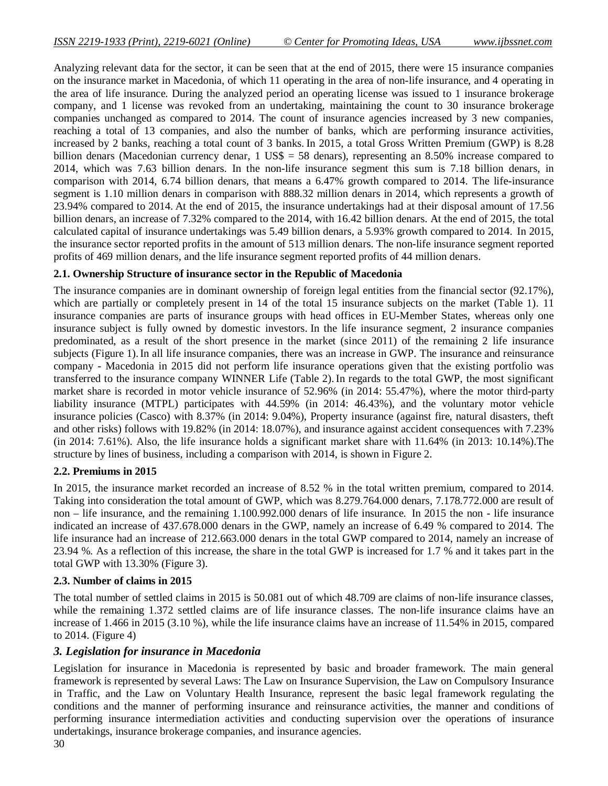Analyzing relevant data for the sector, it can be seen that at the end of 2015, there were 15 insurance companies on the insurance market in Macedonia, of which 11 operating in the area of non-life insurance, and 4 operating in the area of life insurance. During the analyzed period an operating license was issued to 1 insurance brokerage company, and 1 license was revoked from an undertaking, maintaining the count to 30 insurance brokerage companies unchanged as compared to 2014. The count of insurance agencies increased by 3 new companies, reaching a total of 13 companies, and also the number of banks, which are performing insurance activities, increased by 2 banks, reaching a total count of 3 banks. In 2015, a total Gross Written Premium (GWP) is 8.28 billion denars (Macedonian currency denar, 1 US\$ = 58 denars), representing an 8.50% increase compared to 2014, which was 7.63 billion denars. In the non-life insurance segment this sum is 7.18 billion denars, in comparison with 2014, 6.74 billion denars, that means a 6.47% growth compared to 2014. The life-insurance segment is 1.10 million denars in comparison with 888.32 million denars in 2014, which represents a growth of 23.94% compared to 2014. At the end of 2015, the insurance undertakings had at their disposal amount of 17.56 billion denars, an increase of 7.32% compared to the 2014, with 16.42 billion denars. At the end of 2015, the total calculated capital of insurance undertakings was 5.49 billion denars, a 5.93% growth compared to 2014. In 2015, the insurance sector reported profits in the amount of 513 million denars. The non-life insurance segment reported profits of 469 million denars, and the life insurance segment reported profits of 44 million denars.

#### **2.1. Ownership Structure of insurance sector in the Republic of Macedonia**

The insurance companies are in dominant ownership of foreign legal entities from the financial sector (92.17%), which are partially or completely present in 14 of the total 15 insurance subjects on the market (Table 1). 11 insurance companies are parts of insurance groups with head offices in EU-Member States, whereas only one insurance subject is fully owned by domestic investors. In the life insurance segment, 2 insurance companies predominated, as a result of the short presence in the market (since 2011) of the remaining 2 life insurance subjects (Figure 1).In all life insurance companies, there was an increase in GWP. The insurance and reinsurance company - Macedonia in 2015 did not perform life insurance operations given that the existing portfolio was transferred to the insurance company WINNER Life (Table 2).In regards to the total GWP, the most significant market share is recorded in motor vehicle insurance of 52.96% (in 2014: 55.47%), where the motor third-party liability insurance (MTPL) participates with 44.59% (in 2014: 46.43%), and the voluntary motor vehicle insurance policies (Casco) with 8.37% (in 2014: 9.04%), Property insurance (against fire, natural disasters, theft and other risks) follows with 19.82% (in 2014: 18.07%), and insurance against accident consequences with 7.23% (in 2014: 7.61%). Also, the life insurance holds a significant market share with 11.64% (in 2013: 10.14%).The structure by lines of business, including a comparison with 2014, is shown in Figure 2.

#### **2.2. Premiums in 2015**

In 2015, the insurance market recorded an increase of 8.52 % in the total written premium, compared to 2014. Taking into consideration the total amount of GWP, which was 8.279.764.000 denars, 7.178.772.000 are result of non – life insurance, and the remaining 1.100.992.000 denars of life insurance. In 2015 the non - life insurance indicated an increase of 437.678.000 denars in the GWP, namely an increase of 6.49 % compared to 2014. The life insurance had an increase of 212.663.000 denars in the total GWP compared to 2014, namely an increase of 23.94 %. As a reflection of this increase, the share in the total GWP is increased for 1.7 % and it takes part in the total GWP with 13.30% (Figure 3).

#### **2.3. Number of claims in 2015**

The total number of settled claims in 2015 is 50.081 out of which 48.709 are claims of non-life insurance classes, while the remaining 1.372 settled claims are of life insurance classes. The non-life insurance claims have an increase of 1.466 in 2015 (3.10 %), while the life insurance claims have an increase of 11.54% in 2015, compared to 2014. (Figure 4)

#### *3. Legislation for insurance in Macedonia*

Legislation for insurance in Macedonia is represented by basic and broader framework. The main general framework is represented by several Laws: The Law on Insurance Supervision, the Law on Compulsory Insurance in Traffic, and the Law on Voluntary Health Insurance, represent the basic legal framework regulating the conditions and the manner of performing insurance and reinsurance activities, the manner and conditions of performing insurance intermediation activities and conducting supervision over the operations of insurance undertakings, insurance brokerage companies, and insurance agencies.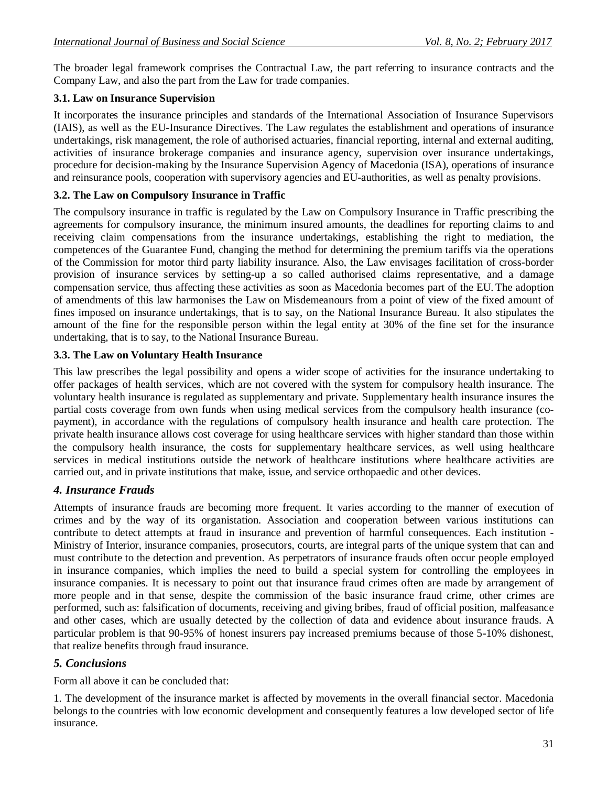The broader legal framework comprises the Contractual Law, the part referring to insurance contracts and the Company Law, and also the part from the Law for trade companies.

# **3.1. Law on Insurance Supervision**

It incorporates the insurance principles and standards of the International Association of Insurance Supervisors (IAIS), as well as the EU-Insurance Directives. The Law regulates the establishment and operations of insurance undertakings, risk management, the role of authorised actuaries, financial reporting, internal and external auditing, activities of insurance brokerage companies and insurance agency, supervision over insurance undertakings, procedure for decision-making by the Insurance Supervision Agency of Macedonia (ISA), operations of insurance and reinsurance pools, cooperation with supervisory agencies and EU-authorities, as well as penalty provisions.

# **3.2. The Law on Compulsory Insurance in Traffic**

The compulsory insurance in traffic is regulated by the Law on Compulsory Insurance in Traffic prescribing the agreements for compulsory insurance, the minimum insured amounts, the deadlines for reporting claims to and receiving claim compensations from the insurance undertakings, establishing the right to mediation, the competences of the Guarantee Fund, changing the method for determining the premium tariffs via the operations of the Commission for motor third party liability insurance. Also, the Law envisages facilitation of cross-border provision of insurance services by setting-up a so called authorised claims representative, and a damage compensation service, thus affecting these activities as soon as Macedonia becomes part of the EU. The adoption of amendments of this law harmonises the Law on Misdemeanours from a point of view of the fixed amount of fines imposed on insurance undertakings, that is to say, on the National Insurance Bureau. It also stipulates the amount of the fine for the responsible person within the legal entity at 30% of the fine set for the insurance undertaking, that is to say, to the National Insurance Bureau.

# **3.3. The Law on Voluntary Health Insurance**

This law prescribes the legal possibility and opens a wider scope of activities for the insurance undertaking to offer packages of health services, which are not covered with the system for compulsory health insurance. The voluntary health insurance is regulated as supplementary and private. Supplementary health insurance insures the partial costs coverage from own funds when using medical services from the compulsory health insurance (copayment), in accordance with the regulations of compulsory health insurance and health care protection. The private health insurance allows cost coverage for using healthcare services with higher standard than those within the compulsory health insurance, the costs for supplementary healthcare services, as well using healthcare services in medical institutions outside the network of healthcare institutions where healthcare activities are carried out, and in private institutions that make, issue, and service orthopaedic and other devices.

# *4. Insurance Frauds*

Attempts of insurance frauds are becoming more frequent. It varies according to the manner of execution of crimes and by the way of its organistation. Association and cooperation between various institutions can contribute to detect attempts at fraud in insurance and prevention of harmful consequences. Each institution - Ministry of Interior, insurance companies, prosecutors, courts, are integral parts of the unique system that can and must contribute to the detection and prevention. As perpetrators of insurance frauds often occur people employed in insurance companies, which implies the need to build a special system for controlling the employees in insurance companies. It is necessary to point out that insurance fraud crimes often are made by arrangement of more people and in that sense, despite the commission of the basic insurance fraud crime, other crimes are performed, such as: falsification of documents, receiving and giving bribes, fraud of official position, malfeasance and other cases, which are usually detected by the collection of data and evidence about insurance frauds. A particular problem is that 90-95% of honest insurers pay increased premiums because of those 5-10% dishonest, that realize benefits through fraud insurance.

# *5. Conclusions*

Form all above it can be concluded that:

1. The development of the insurance market is affected by movements in the overall financial sector. Macedonia belongs to the countries with low economic development and consequently features a low developed sector of life insurance.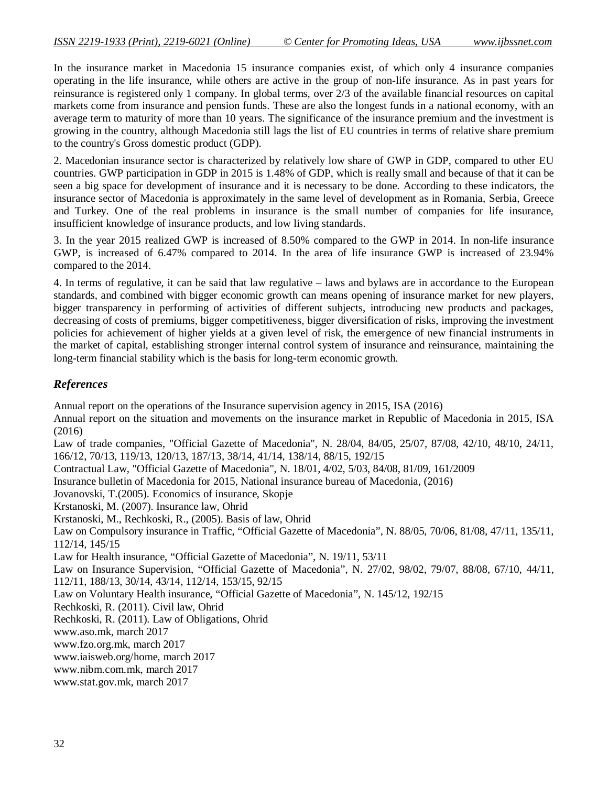In the insurance market in Macedonia 15 insurance companies exist, of which only 4 insurance companies operating in the life insurance, while others are active in the group of non-life insurance. As in past years for reinsurance is registered only 1 company. In global terms, over 2/3 of the available financial resources on capital markets come from insurance and pension funds. These are also the longest funds in a national economy, with an average term to maturity of more than 10 years. The significance of the insurance premium and the investment is growing in the country, although Macedonia still lags the list of EU countries in terms of relative share premium to the country's Gross domestic product (GDP).

2. Macedonian insurance sector is characterized by relatively low share of GWP in GDP, compared to other EU countries. GWP participation in GDP in 2015 is 1.48% of GDP, which is really small and because of that it can be seen a big space for development of insurance and it is necessary to be done. According to these indicators, the insurance sector of Macedonia is approximately in the same level of development as in Romania, Serbia, Greece and Turkey. One of the real problems in insurance is the small number of companies for life insurance, insufficient knowledge of insurance products, and low living standards.

3. In the year 2015 realized GWP is increased of 8.50% compared to the GWP in 2014. In non-life insurance GWP, is increased of 6.47% compared to 2014. In the area of life insurance GWP is increased of 23.94% compared to the 2014.

4. In terms of regulative, it can be said that law regulative – laws and bylaws are in accordance to the European standards, and combined with bigger economic growth can means opening of insurance market for new players, bigger transparency in performing of activities of different subjects, introducing new products and packages, decreasing of costs of premiums, bigger competitiveness, bigger diversification of risks, improving the investment policies for achievement of higher yields at a given level of risk, the emergence of new financial instruments in the market of capital, establishing stronger internal control system of insurance and reinsurance, maintaining the long-term financial stability which is the basis for long-term economic growth.

#### *References*

Annual report on the operations of the Insurance supervision agency in 2015, ISA (2016) Annual report on the situation and movements on the insurance market in Republic of Macedonia in 2015, ISA (2016) Law of trade companies, "Official Gazette of Macedonia", N. 28/04, 84/05, 25/07, 87/08, 42/10, 48/10, 24/11, 166/12, 70/13, 119/13, 120/13, 187/13, 38/14, 41/14, 138/14, 88/15, 192/15 Contractual Law, "Official Gazette of Macedonia", N. 18/01, 4/02, 5/03, 84/08, 81/09, 161/2009 Insurance bulletin of Macedonia for 2015, National insurance bureau of Macedonia, (2016) Jovanovski, T.(2005). Economics of insurance, Skopje Krstanoski, M. (2007). Insurance law, Ohrid Krstanoski, M., Rechkoski, R., (2005). Basis of law, Ohrid Law on Compulsory insurance in Traffic, "Official Gazette of Macedonia", N. 88/05, 70/06, 81/08, 47/11, 135/11, 112/14, 145/15 Law for Health insurance, "Official Gazette of Macedonia", N. 19/11, 53/11 Law on Insurance Supervision, "Official Gazette of Macedonia", N. 27/02, 98/02, 79/07, 88/08, 67/10, 44/11, 112/11, 188/13, 30/14, 43/14, 112/14, 153/15, 92/15 Law on Voluntary Health insurance, "Official Gazette of Macedonia", N. 145/12, 192/15 Rechkoski, R. (2011). Civil law, Ohrid Rechkoski, R. (2011). Law of Obligations, Ohrid www.aso.mk, march 2017 www.fzo.org.mk, march 2017 www.iaisweb.org/home, march 2017 www.nibm.com.mk, march 2017 www.stat.gov.mk, march 2017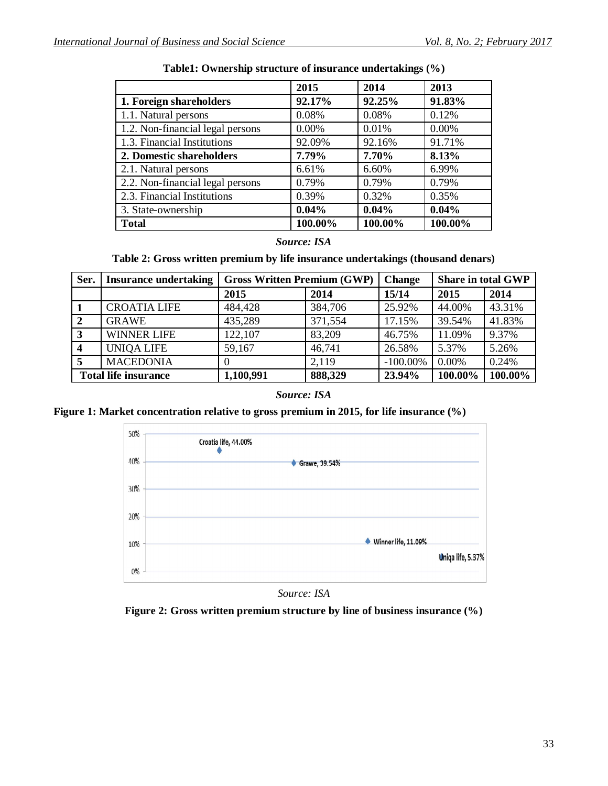|                                  | 2015    | 2014    | 2013     |
|----------------------------------|---------|---------|----------|
| 1. Foreign shareholders          | 92.17%  | 92.25%  | 91.83%   |
| 1.1. Natural persons             | 0.08%   | 0.08%   | 0.12%    |
| 1.2. Non-financial legal persons | 0.00%   | 0.01%   | $0.00\%$ |
| 1.3. Financial Institutions      | 92.09%  | 92.16%  | 91.71%   |
| 2. Domestic shareholders         | 7.79%   | 7.70%   | 8.13%    |
| 2.1. Natural persons             | 6.61%   | 6.60%   | 6.99%    |
| 2.2. Non-financial legal persons | 0.79%   | 0.79%   | 0.79%    |
| 2.3. Financial Institutions      | 0.39%   | 0.32%   | 0.35%    |
| 3. State-ownership               | 0.04%   | 0.04%   | 0.04%    |
| <b>Total</b>                     | 100.00% | 100.00% | 100.00%  |

**Table1: Ownership structure of insurance undertakings (%)**

#### *Source: ISA*

**Table 2: Gross written premium by life insurance undertakings (thousand denars)**

| Ser.                    | <b>Insurance undertaking</b> | <b>Gross Written Premium (GWP)</b> |         | <b>Change</b> | <b>Share in total GWP</b> |         |
|-------------------------|------------------------------|------------------------------------|---------|---------------|---------------------------|---------|
|                         |                              | 2015                               | 2014    | 15/14         | 2015                      | 2014    |
|                         | <b>CROATIA LIFE</b>          | 484,428                            | 384,706 | 25.92%        | 44.00%                    | 43.31%  |
|                         | <b>GRAWE</b>                 | 435,289                            | 371,554 | 17.15%        | 39.54%                    | 41.83%  |
| 3                       | <b>WINNER LIFE</b>           | 122,107                            | 83,209  | 46.75%        | 11.09%                    | 9.37%   |
| $\overline{\mathbf{4}}$ | <b>UNIOA LIFE</b>            | 59,167                             | 46,741  | 26.58%        | 5.37%                     | 5.26%   |
| 5                       | <b>MACEDONIA</b>             | $\Omega$                           | 2,119   | $-100.00\%$   | 0.00%                     | 0.24%   |
|                         | <b>Total life insurance</b>  | 1,100,991                          | 888,329 | 23.94%        | 100.00%                   | 100.00% |

#### *Source: ISA*

**Figure 1: Market concentration relative to gross premium in 2015, for life insurance (%)**



*Source: ISA*

**Figure 2: Gross written premium structure by line of business insurance (%)**